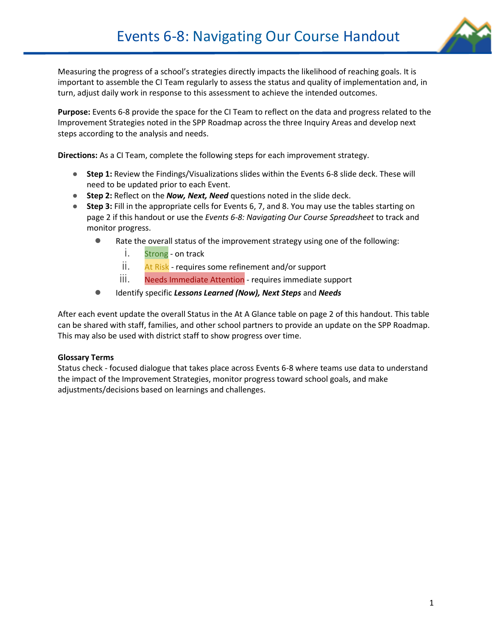

Measuring the progress of a school's strategies directly impacts the likelihood of reaching goals. It is important to assemble the CI Team regularly to assess the status and quality of implementation and, in turn, adjust daily work in response to this assessment to achieve the intended outcomes.

**Purpose:** Events 6-8 provide the space for the CI Team to reflect on the data and progress related to the Improvement Strategies noted in the SPP Roadmap across the three Inquiry Areas and develop next steps according to the analysis and needs.

**Directions:** As a CI Team, complete the following steps for each improvement strategy.

- **Step 1:** Review the Findings/Visualizations slides within the Events 6-8 slide deck. These will need to be updated prior to each Event.
- **Step 2:** Reflect on the *Now, Next, Need* questions noted in the slide deck.
- **Step 3:** Fill in the appropriate cells for Events 6, 7, and 8. You may use the tables starting on page 2 if this handout or use the *Events 6-8: Navigating Our Course Spreadsheet* to track and monitor progress.
	- Rate the overall status of the improvement strategy using one of the following:
		- i. Strong on track
		- ii. At Risk requires some refinement and/or support
		- iii. Needs Immediate Attention requires immediate support
	- Identify specific *Lessons Learned (Now), Next Steps* and *Needs*

After each event update the overall Status in the At A Glance table on page 2 of this handout. This table can be shared with staff, families, and other school partners to provide an update on the SPP Roadmap. This may also be used with district staff to show progress over time.

#### **Glossary Terms**

Status check - focused dialogue that takes place across Events 6-8 where teams use data to understand the impact of the Improvement Strategies, monitor progress toward school goals, and make adjustments/decisions based on learnings and challenges.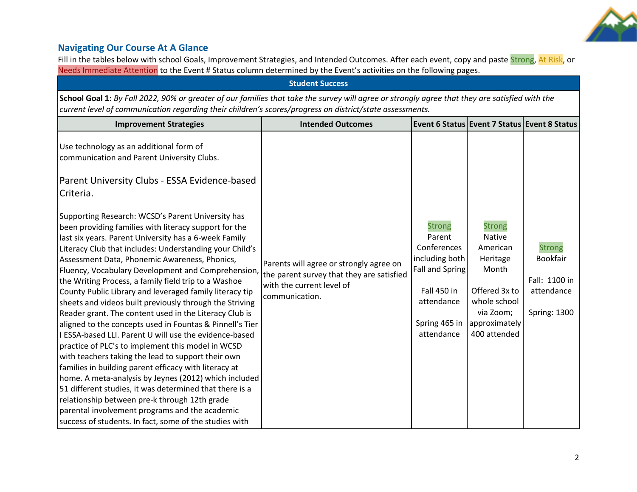

### **Navigating Our Course At A Glance**

Fill in the tables below with school Goals, Improvement Strategies, and Intended Outcomes. After each event, copy and paste Strong, At Risk, or Needs Immediate Attention to the Event # Status column determined by the Event's activities on the following pages.

| <b>Student Success</b>                                                                                                                                                                                                                                                                                                                                                                                                                                                                                                                                                                                                                                                                                                                                                                                                                                                                                                                                                                                                                                                                                                                                                                                                                                                                                          |                                                                                                                                     |                                                                                                                                                |                                                                                                                                                |                                                                                 |
|-----------------------------------------------------------------------------------------------------------------------------------------------------------------------------------------------------------------------------------------------------------------------------------------------------------------------------------------------------------------------------------------------------------------------------------------------------------------------------------------------------------------------------------------------------------------------------------------------------------------------------------------------------------------------------------------------------------------------------------------------------------------------------------------------------------------------------------------------------------------------------------------------------------------------------------------------------------------------------------------------------------------------------------------------------------------------------------------------------------------------------------------------------------------------------------------------------------------------------------------------------------------------------------------------------------------|-------------------------------------------------------------------------------------------------------------------------------------|------------------------------------------------------------------------------------------------------------------------------------------------|------------------------------------------------------------------------------------------------------------------------------------------------|---------------------------------------------------------------------------------|
| School Goal 1: By Fall 2022, 90% or greater of our families that take the survey will agree or strongly agree that they are satisfied with the<br>current level of communication regarding their children's scores/progress on district/state assessments.                                                                                                                                                                                                                                                                                                                                                                                                                                                                                                                                                                                                                                                                                                                                                                                                                                                                                                                                                                                                                                                      |                                                                                                                                     |                                                                                                                                                |                                                                                                                                                |                                                                                 |
| <b>Improvement Strategies</b>                                                                                                                                                                                                                                                                                                                                                                                                                                                                                                                                                                                                                                                                                                                                                                                                                                                                                                                                                                                                                                                                                                                                                                                                                                                                                   | <b>Intended Outcomes</b>                                                                                                            |                                                                                                                                                | Event 6 Status Event 7 Status Event 8 Status                                                                                                   |                                                                                 |
| Use technology as an additional form of<br>communication and Parent University Clubs.<br>Parent University Clubs - ESSA Evidence-based<br>Criteria.<br>Supporting Research: WCSD's Parent University has<br>been providing families with literacy support for the<br>last six years. Parent University has a 6-week Family<br>Literacy Club that includes: Understanding your Child's<br>Assessment Data, Phonemic Awareness, Phonics,<br>Fluency, Vocabulary Development and Comprehension,<br>the Writing Process, a family field trip to a Washoe<br>County Public Library and leveraged family literacy tip<br>sheets and videos built previously through the Striving<br>Reader grant. The content used in the Literacy Club is<br>aligned to the concepts used in Fountas & Pinnell's Tier<br>I ESSA-based LLI. Parent U will use the evidence-based<br>practice of PLC's to implement this model in WCSD<br>with teachers taking the lead to support their own<br>families in building parent efficacy with literacy at<br>home. A meta-analysis by Jeynes (2012) which included<br>51 different studies, it was determined that there is a<br>relationship between pre-k through 12th grade<br>parental involvement programs and the academic<br>success of students. In fact, some of the studies with | Parents will agree or strongly agree on<br>the parent survey that they are satisfied<br>with the current level of<br>communication. | <b>Strong</b><br>Parent<br>Conferences<br>including both<br>Fall and Spring<br><b>Fall 450 in</b><br>attendance<br>Spring 465 in<br>attendance | <b>Strong</b><br><b>Native</b><br>American<br>Heritage<br>Month<br>Offered 3x to<br>whole school<br>via Zoom;<br>approximately<br>400 attended | <b>Strong</b><br>Bookfair<br>Fall: 1100 in<br>attendance<br><b>Spring: 1300</b> |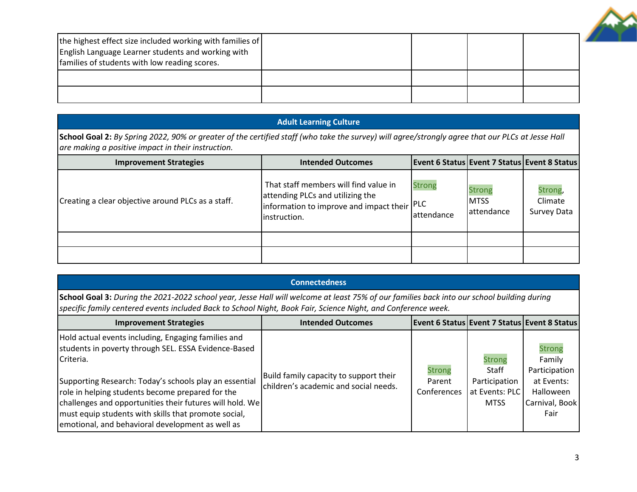| the highest effect size included working with families of<br>English Language Learner students and working with<br>families of students with low reading scores. |  |  |
|------------------------------------------------------------------------------------------------------------------------------------------------------------------|--|--|
|                                                                                                                                                                  |  |  |
|                                                                                                                                                                  |  |  |

### **Adult Learning Culture**

**School Goal 2:** *By Spring 2022, 90% or greater of the certified staff (who take the survey) will agree/strongly agree that our PLCs at Jesse Hall are making a positive impact in their instruction.*

| <b>Improvement Strategies</b>                      | <b>Intended Outcomes</b>                                                                                                                 |                             |                                             | <b>Event 6 Status Event 7 Status Event 8 Status</b> |
|----------------------------------------------------|------------------------------------------------------------------------------------------------------------------------------------------|-----------------------------|---------------------------------------------|-----------------------------------------------------|
| Creating a clear objective around PLCs as a staff. | That staff members will find value in<br>attending PLCs and utilizing the<br>information to improve and impact their PLC<br>instruction. | <b>Strong</b><br>attendance | <b>Strong</b><br><b>MTSS</b><br>lattendance | Strong,<br>Climate<br>Survey Data                   |
|                                                    |                                                                                                                                          |                             |                                             |                                                     |
|                                                    |                                                                                                                                          |                             |                                             |                                                     |

#### **Connectedness**

**School Goal 3:** *During the 2021-2022 school year, Jesse Hall will welcome at least 75% of our families back into our school building during specific family centered events included Back to School Night, Book Fair, Science Night, and Conference week.*

| <b>Improvement Strategies</b>                                                                                                                                                                                                                                                                                                                                                                                  | <b>Intended Outcomes</b>                                                        |                                        |                                                                                 | <b>Event 6 Status Event 7 Status Event 8 Status</b>                                           |
|----------------------------------------------------------------------------------------------------------------------------------------------------------------------------------------------------------------------------------------------------------------------------------------------------------------------------------------------------------------------------------------------------------------|---------------------------------------------------------------------------------|----------------------------------------|---------------------------------------------------------------------------------|-----------------------------------------------------------------------------------------------|
| Hold actual events including, Engaging families and<br>students in poverty through SEL. ESSA Evidence-Based<br>Criteria.<br>Supporting Research: Today's schools play an essential<br>role in helping students become prepared for the<br>challenges and opportunities their futures will hold. We<br>must equip students with skills that promote social,<br>emotional, and behavioral development as well as | Build family capacity to support their<br>children's academic and social needs. | <b>Strong</b><br>Parent<br>Conferences | <b>Strong</b><br><b>Staff</b><br>Participation<br>at Events: PLC<br><b>MTSS</b> | <b>Strong</b><br>Family<br>Participation<br>at Events:<br>Halloween<br>Carnival, Book<br>Fair |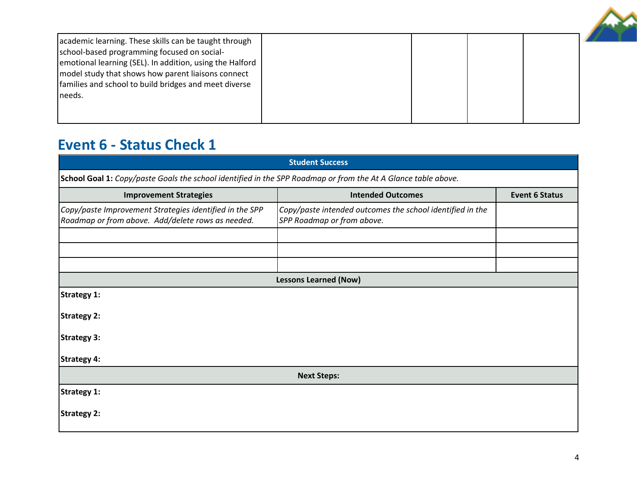

# **Event 6 - Status Check 1**

|                                                                                                               | <b>Student Success</b>                                                                  |                       |  |
|---------------------------------------------------------------------------------------------------------------|-----------------------------------------------------------------------------------------|-----------------------|--|
| School Goal 1: Copy/paste Goals the school identified in the SPP Roadmap or from the At A Glance table above. |                                                                                         |                       |  |
| <b>Improvement Strategies</b>                                                                                 | <b>Intended Outcomes</b>                                                                | <b>Event 6 Status</b> |  |
| Copy/paste Improvement Strategies identified in the SPP<br>Roadmap or from above. Add/delete rows as needed.  | Copy/paste intended outcomes the school identified in the<br>SPP Roadmap or from above. |                       |  |
|                                                                                                               |                                                                                         |                       |  |
|                                                                                                               |                                                                                         |                       |  |
|                                                                                                               |                                                                                         |                       |  |
|                                                                                                               | <b>Lessons Learned (Now)</b>                                                            |                       |  |
| Strategy 1:                                                                                                   |                                                                                         |                       |  |
| <b>Strategy 2:</b>                                                                                            |                                                                                         |                       |  |
| <b>Strategy 3:</b>                                                                                            |                                                                                         |                       |  |
| <b>Strategy 4:</b>                                                                                            |                                                                                         |                       |  |
| <b>Next Steps:</b>                                                                                            |                                                                                         |                       |  |
| Strategy 1:                                                                                                   |                                                                                         |                       |  |
| Strategy 2:                                                                                                   |                                                                                         |                       |  |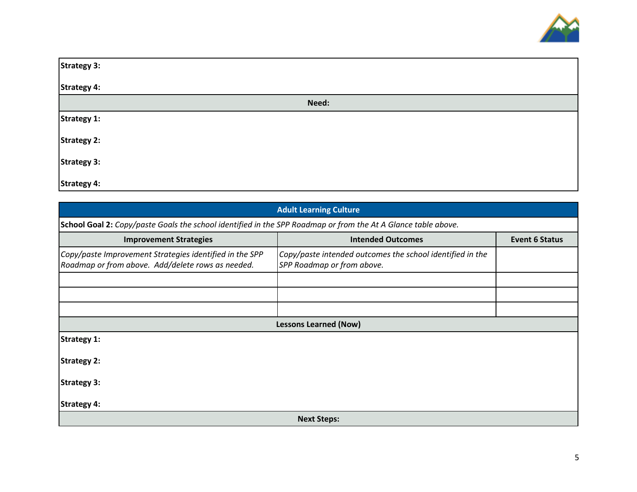

| <b>Strategy 3:</b> |       |
|--------------------|-------|
| <b>Strategy 4:</b> |       |
|                    | Need: |
| <b>Strategy 1:</b> |       |
| <b>Strategy 2:</b> |       |
| <b>Strategy 3:</b> |       |
| <b>Strategy 4:</b> |       |

| <b>Adult Learning Culture</b>                                                                                 |                                                                                         |                       |
|---------------------------------------------------------------------------------------------------------------|-----------------------------------------------------------------------------------------|-----------------------|
| School Goal 2: Copy/paste Goals the school identified in the SPP Roadmap or from the At A Glance table above. |                                                                                         |                       |
| <b>Improvement Strategies</b>                                                                                 | <b>Intended Outcomes</b>                                                                | <b>Event 6 Status</b> |
| Copy/paste Improvement Strategies identified in the SPP<br>Roadmap or from above. Add/delete rows as needed.  | Copy/paste intended outcomes the school identified in the<br>SPP Roadmap or from above. |                       |
|                                                                                                               |                                                                                         |                       |
|                                                                                                               |                                                                                         |                       |
|                                                                                                               |                                                                                         |                       |
|                                                                                                               | <b>Lessons Learned (Now)</b>                                                            |                       |
| <b>Strategy 1:</b>                                                                                            |                                                                                         |                       |
| <b>Strategy 2:</b>                                                                                            |                                                                                         |                       |
| <b>Strategy 3:</b>                                                                                            |                                                                                         |                       |
| <b>Strategy 4:</b>                                                                                            |                                                                                         |                       |
|                                                                                                               | <b>Next Steps:</b>                                                                      |                       |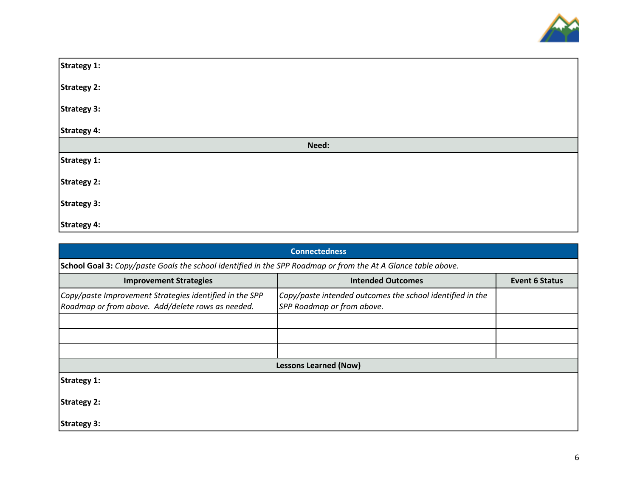

| Strategy 1:        |       |
|--------------------|-------|
| Strategy 2:        |       |
| Strategy 3:        |       |
| Strategy 4:        |       |
|                    | Need: |
| Strategy 1:        |       |
| Strategy 2:        |       |
| <b>Strategy 3:</b> |       |
| <b>Strategy 4:</b> |       |

| <b>Connectedness</b>                                                                                          |                                                                                         |                       |  |
|---------------------------------------------------------------------------------------------------------------|-----------------------------------------------------------------------------------------|-----------------------|--|
| School Goal 3: Copy/paste Goals the school identified in the SPP Roadmap or from the At A Glance table above. |                                                                                         |                       |  |
| <b>Improvement Strategies</b>                                                                                 | <b>Intended Outcomes</b>                                                                | <b>Event 6 Status</b> |  |
| Copy/paste Improvement Strategies identified in the SPP<br>Roadmap or from above. Add/delete rows as needed.  | Copy/paste intended outcomes the school identified in the<br>SPP Roadmap or from above. |                       |  |
|                                                                                                               |                                                                                         |                       |  |
|                                                                                                               |                                                                                         |                       |  |
|                                                                                                               |                                                                                         |                       |  |
|                                                                                                               | <b>Lessons Learned (Now)</b>                                                            |                       |  |
| <b>Strategy 1:</b>                                                                                            |                                                                                         |                       |  |
| <b>Strategy 2:</b>                                                                                            |                                                                                         |                       |  |
| <b>Strategy 3:</b>                                                                                            |                                                                                         |                       |  |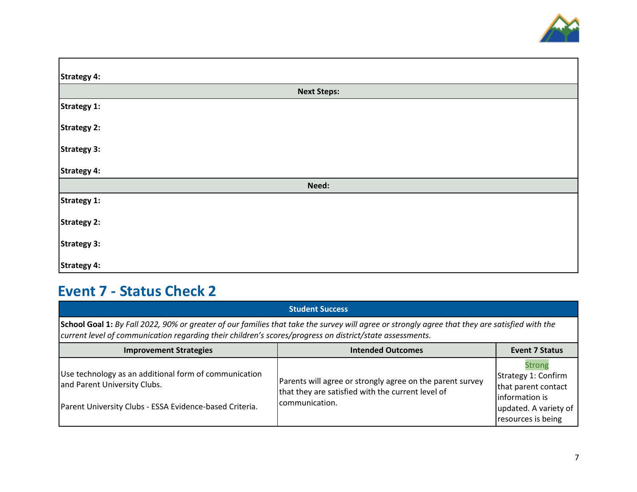

| <b>Strategy 4:</b> |  |
|--------------------|--|
| <b>Next Steps:</b> |  |
| <b>Strategy 1:</b> |  |
| <b>Strategy 2:</b> |  |
| Strategy 3:        |  |
| <b>Strategy 4:</b> |  |
| Need:              |  |
| <b>Strategy 1:</b> |  |
| <b>Strategy 2:</b> |  |
| <b>Strategy 3:</b> |  |
| <b>Strategy 4:</b> |  |

# **Event 7 - Status Check 2**

|                                                                                                                                                                                                                                                            | <b>Student Success</b>                                                                                                            |                                                                                                                              |
|------------------------------------------------------------------------------------------------------------------------------------------------------------------------------------------------------------------------------------------------------------|-----------------------------------------------------------------------------------------------------------------------------------|------------------------------------------------------------------------------------------------------------------------------|
| School Goal 1: By Fall 2022, 90% or greater of our families that take the survey will agree or strongly agree that they are satisfied with the<br>current level of communication regarding their children's scores/progress on district/state assessments. |                                                                                                                                   |                                                                                                                              |
| <b>Improvement Strategies</b>                                                                                                                                                                                                                              | <b>Intended Outcomes</b>                                                                                                          | <b>Event 7 Status</b>                                                                                                        |
| Use technology as an additional form of communication<br>and Parent University Clubs.<br>Parent University Clubs - ESSA Evidence-based Criteria.                                                                                                           | Parents will agree or strongly agree on the parent survey<br>that they are satisfied with the current level of<br>Icommunication. | <b>Strong</b><br>Strategy 1: Confirm<br>that parent contact<br>information is<br>updated. A variety of<br>resources is being |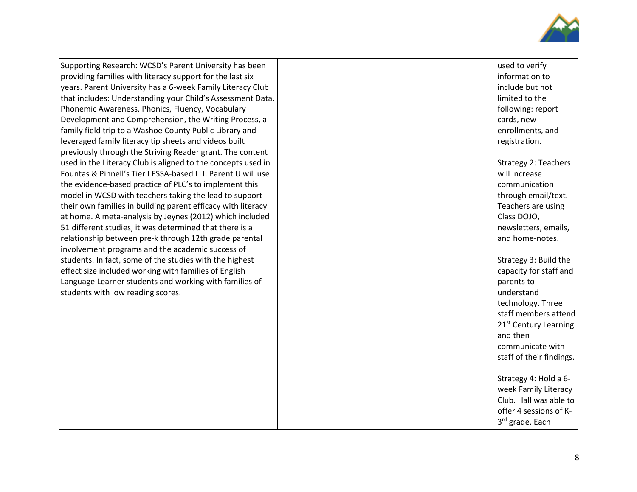

Supporting Research: WCSD's Parent University has been providing families with literacy support for the last six years. Parent University has a 6 -week Family Literacy Club that includes: Understanding your Child's Assessment Data, Phonemic Awareness, Phonics, Fluency, Vocabulary Development and Comprehension, the Writing Process, a family field trip to a Washoe County Public Library and leveraged family literacy tip sheets and videos built previously through the Striving Reader grant. The content used in the Literacy Club is aligned to the concepts used in Fountas & Pinnell's Tier I ESSA -based LLI. Parent U will use the evidence -based practice of PLC's to implement this model in WCSD with teachers taking the lead to support their own families in building parent efficacy with literacy at home. A meta -analysis by Jeynes (2012) which included 51 different studies, it was determined that there is a relationship between pre -k through 12th grade parental involvement programs and the academic success of students. In fact, some of the studies with the highest effect size included working with families of English Language Learner students and working with families of students with low reading scores .

| used to verify           |
|--------------------------|
| information to           |
| include but not          |
| limited to the           |
| following: report        |
| cards, new               |
| enrollments, and         |
| registration.            |
| Strategy 2: Teachers     |
| will increase            |
| communication            |
| through email/text.      |
| Teachers are using       |
| Class DOJO,              |
| newsletters, emails,     |
| and home-notes.          |
|                          |
| Strategy 3: Build the    |
| capacity for staff and   |
| parents to               |
| understand               |
| technology. Three        |
| staff members attend     |
| 21st Century Learning    |
| and then                 |
| communicate with         |
| staff of their findings. |
|                          |
| Strategy 4: Hold a 6-    |
| week Family Literacy     |
| Club. Hall was able to   |
| offer 4 sessions of K-   |
| 3rd grade. Each          |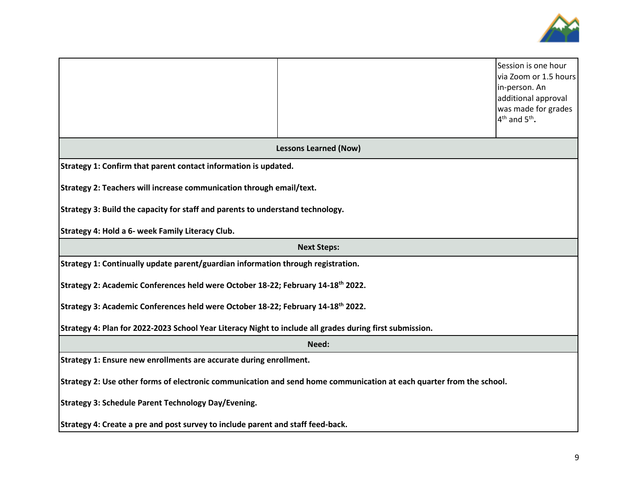

|                                                                                                                      |                              | Session is one hour<br>via Zoom or 1.5 hours<br>in-person. An<br>additional approval<br>was made for grades<br>$4th$ and $5th$ . |  |
|----------------------------------------------------------------------------------------------------------------------|------------------------------|----------------------------------------------------------------------------------------------------------------------------------|--|
|                                                                                                                      | <b>Lessons Learned (Now)</b> |                                                                                                                                  |  |
| Strategy 1: Confirm that parent contact information is updated.                                                      |                              |                                                                                                                                  |  |
| Strategy 2: Teachers will increase communication through email/text.                                                 |                              |                                                                                                                                  |  |
| Strategy 3: Build the capacity for staff and parents to understand technology.                                       |                              |                                                                                                                                  |  |
| Strategy 4: Hold a 6- week Family Literacy Club.                                                                     |                              |                                                                                                                                  |  |
| <b>Next Steps:</b>                                                                                                   |                              |                                                                                                                                  |  |
| Strategy 1: Continually update parent/guardian information through registration.                                     |                              |                                                                                                                                  |  |
| Strategy 2: Academic Conferences held were October 18-22; February 14-18 <sup>th</sup> 2022.                         |                              |                                                                                                                                  |  |
| Strategy 3: Academic Conferences held were October 18-22; February 14-18 <sup>th</sup> 2022.                         |                              |                                                                                                                                  |  |
| Strategy 4: Plan for 2022-2023 School Year Literacy Night to include all grades during first submission.             |                              |                                                                                                                                  |  |
| Need:                                                                                                                |                              |                                                                                                                                  |  |
| Strategy 1: Ensure new enrollments are accurate during enrollment.                                                   |                              |                                                                                                                                  |  |
| Strategy 2: Use other forms of electronic communication and send home communication at each quarter from the school. |                              |                                                                                                                                  |  |
| <b>Strategy 3: Schedule Parent Technology Day/Evening.</b>                                                           |                              |                                                                                                                                  |  |
| Strategy 4: Create a pre and post survey to include parent and staff feed-back.                                      |                              |                                                                                                                                  |  |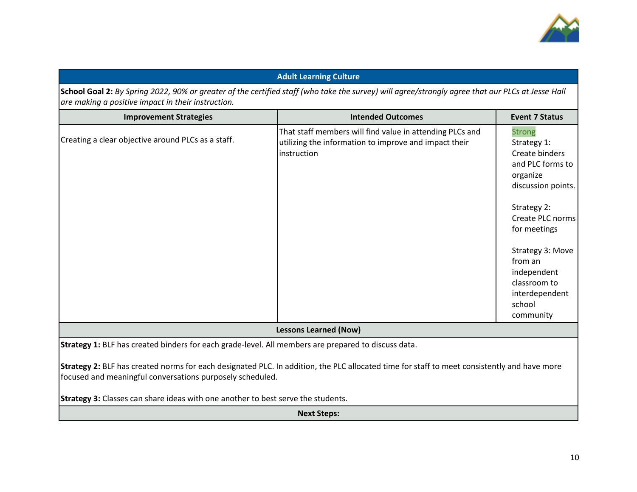

|                                                                                                     | <b>Adult Learning Culture</b>                                                                                                                    |                                                                                                                                                                                                                                                                |
|-----------------------------------------------------------------------------------------------------|--------------------------------------------------------------------------------------------------------------------------------------------------|----------------------------------------------------------------------------------------------------------------------------------------------------------------------------------------------------------------------------------------------------------------|
| are making a positive impact in their instruction.                                                  | School Goal 2: By Spring 2022, 90% or greater of the certified staff (who take the survey) will agree/strongly agree that our PLCs at Jesse Hall |                                                                                                                                                                                                                                                                |
| <b>Improvement Strategies</b>                                                                       | <b>Intended Outcomes</b>                                                                                                                         | <b>Event 7 Status</b>                                                                                                                                                                                                                                          |
| Creating a clear objective around PLCs as a staff.                                                  | That staff members will find value in attending PLCs and<br>utilizing the information to improve and impact their<br>instruction                 | <b>Strong</b><br>Strategy 1:<br>Create binders<br>and PLC forms to<br>organize<br>discussion points.<br>Strategy 2:<br>Create PLC norms<br>for meetings<br>Strategy 3: Move<br>from an<br>independent<br>classroom to<br>interdependent<br>school<br>community |
|                                                                                                     | <b>Lessons Learned (Now)</b>                                                                                                                     |                                                                                                                                                                                                                                                                |
| Strategy 1: BLF has created binders for each grade-level. All members are prepared to discuss data. |                                                                                                                                                  |                                                                                                                                                                                                                                                                |
| focused and meaningful conversations purposely scheduled.                                           | Strategy 2: BLF has created norms for each designated PLC. In addition, the PLC allocated time for staff to meet consistently and have more      |                                                                                                                                                                                                                                                                |
| Strategy 3: Classes can share ideas with one another to best serve the students.                    |                                                                                                                                                  |                                                                                                                                                                                                                                                                |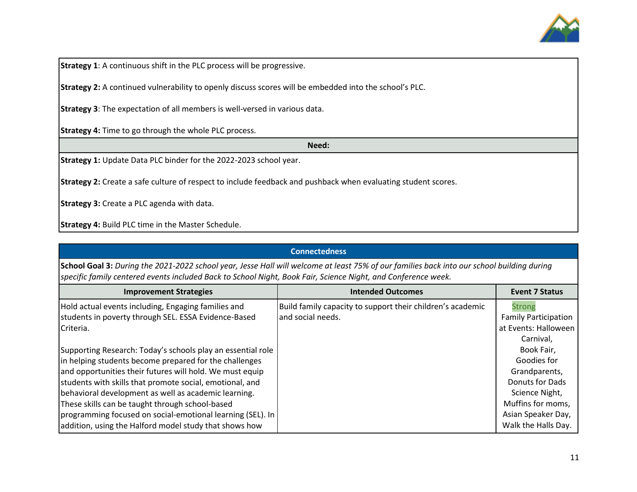

**Strategy 1**: A continuous shift in the PLC process will be progressive.

**Strategy 2:** A continued vulnerability to openly discuss scores will be embedded into the school's PLC.

**Strategy 3**: The expectation of all members is well-versed in various data.

**Strategy 4:** Time to go through the whole PLC process.

**Need:**

**Strategy 1:** Update Data PLC binder for the 2022-2023 school year.

**Strategy 2:** Create a safe culture of respect to include feedback and pushback when evaluating student scores.

**Strategy 3:** Create a PLC agenda with data.

**Strategy 4:** Build PLC time in the Master Schedule.

| <b>Connectedness</b>                                                                                                                                                                                                                                        |                                                            |                             |  |
|-------------------------------------------------------------------------------------------------------------------------------------------------------------------------------------------------------------------------------------------------------------|------------------------------------------------------------|-----------------------------|--|
| School Goal 3: During the 2021-2022 school year, Jesse Hall will welcome at least 75% of our families back into our school building during<br>specific family centered events included Back to School Night, Book Fair, Science Night, and Conference week. |                                                            |                             |  |
| <b>Improvement Strategies</b>                                                                                                                                                                                                                               | <b>Intended Outcomes</b>                                   | <b>Event 7 Status</b>       |  |
| Hold actual events including, Engaging families and                                                                                                                                                                                                         | Build family capacity to support their children's academic | Strong                      |  |
| students in poverty through SEL. ESSA Evidence-Based                                                                                                                                                                                                        | and social needs.                                          | <b>Family Participation</b> |  |
| Criteria.                                                                                                                                                                                                                                                   |                                                            | at Events: Halloween        |  |
|                                                                                                                                                                                                                                                             |                                                            | Carnival,                   |  |
| Supporting Research: Today's schools play an essential role                                                                                                                                                                                                 |                                                            | Book Fair,                  |  |
| in helping students become prepared for the challenges                                                                                                                                                                                                      |                                                            | Goodies for                 |  |
| and opportunities their futures will hold. We must equip                                                                                                                                                                                                    |                                                            | Grandparents,               |  |
| students with skills that promote social, emotional, and                                                                                                                                                                                                    |                                                            | Donuts for Dads             |  |
| behavioral development as well as academic learning.                                                                                                                                                                                                        |                                                            | Science Night,              |  |
| These skills can be taught through school-based                                                                                                                                                                                                             |                                                            | Muffins for moms,           |  |
| programming focused on social-emotional learning (SEL). In                                                                                                                                                                                                  |                                                            | Asian Speaker Day,          |  |
| addition, using the Halford model study that shows how                                                                                                                                                                                                      |                                                            | Walk the Halls Day.         |  |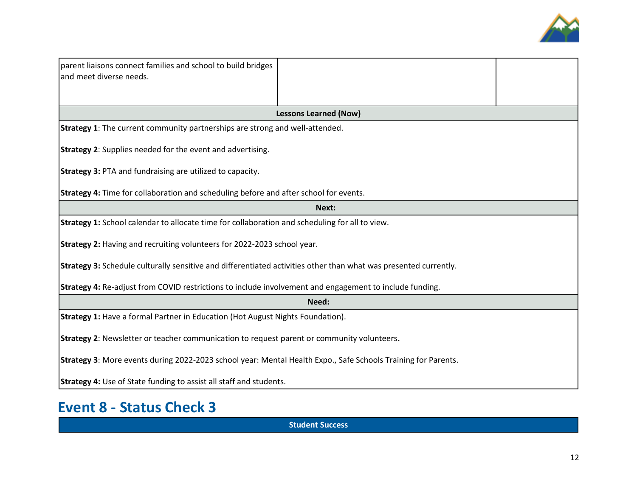

| parent liaisons connect families and school to build bridges<br>and meet diverse needs.                          |                              |  |  |  |
|------------------------------------------------------------------------------------------------------------------|------------------------------|--|--|--|
|                                                                                                                  | <b>Lessons Learned (Now)</b> |  |  |  |
| <b>Strategy 1:</b> The current community partnerships are strong and well-attended.                              |                              |  |  |  |
| <b>Strategy 2:</b> Supplies needed for the event and advertising.                                                |                              |  |  |  |
| <b>Strategy 3: PTA and fundraising are utilized to capacity.</b>                                                 |                              |  |  |  |
| <b>Strategy 4:</b> Time for collaboration and scheduling before and after school for events.                     |                              |  |  |  |
|                                                                                                                  | Next:                        |  |  |  |
| Strategy 1: School calendar to allocate time for collaboration and scheduling for all to view.                   |                              |  |  |  |
| Strategy 2: Having and recruiting volunteers for 2022-2023 school year.                                          |                              |  |  |  |
| Strategy 3: Schedule culturally sensitive and differentiated activities other than what was presented currently. |                              |  |  |  |
| Strategy 4: Re-adjust from COVID restrictions to include involvement and engagement to include funding.          |                              |  |  |  |
| Need:                                                                                                            |                              |  |  |  |
| Strategy 1: Have a formal Partner in Education (Hot August Nights Foundation).                                   |                              |  |  |  |
| Strategy 2: Newsletter or teacher communication to request parent or community volunteers.                       |                              |  |  |  |
| Strategy 3: More events during 2022-2023 school year: Mental Health Expo., Safe Schools Training for Parents.    |                              |  |  |  |
| <b>Strategy 4:</b> Use of State funding to assist all staff and students.                                        |                              |  |  |  |

# **Event 8 - Status Check 3**

**Student Success**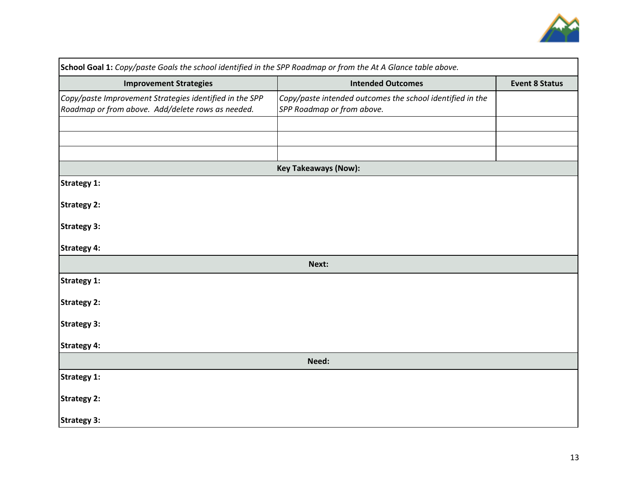

| School Goal 1: Copy/paste Goals the school identified in the SPP Roadmap or from the At A Glance table above. |                                                                                         |                       |  |
|---------------------------------------------------------------------------------------------------------------|-----------------------------------------------------------------------------------------|-----------------------|--|
| <b>Improvement Strategies</b>                                                                                 | <b>Intended Outcomes</b>                                                                | <b>Event 8 Status</b> |  |
| Copy/paste Improvement Strategies identified in the SPP<br>Roadmap or from above. Add/delete rows as needed.  | Copy/paste intended outcomes the school identified in the<br>SPP Roadmap or from above. |                       |  |
|                                                                                                               |                                                                                         |                       |  |
|                                                                                                               |                                                                                         |                       |  |
|                                                                                                               | <b>Key Takeaways (Now):</b>                                                             |                       |  |
|                                                                                                               |                                                                                         |                       |  |
| <b>Strategy 1:</b>                                                                                            |                                                                                         |                       |  |
| <b>Strategy 2:</b>                                                                                            |                                                                                         |                       |  |
| <b>Strategy 3:</b>                                                                                            |                                                                                         |                       |  |
| <b>Strategy 4:</b>                                                                                            |                                                                                         |                       |  |
|                                                                                                               | Next:                                                                                   |                       |  |
| <b>Strategy 1:</b>                                                                                            |                                                                                         |                       |  |
| <b>Strategy 2:</b>                                                                                            |                                                                                         |                       |  |
| <b>Strategy 3:</b>                                                                                            |                                                                                         |                       |  |
| <b>Strategy 4:</b>                                                                                            |                                                                                         |                       |  |
| Need:                                                                                                         |                                                                                         |                       |  |
| <b>Strategy 1:</b>                                                                                            |                                                                                         |                       |  |
| <b>Strategy 2:</b>                                                                                            |                                                                                         |                       |  |
| <b>Strategy 3:</b>                                                                                            |                                                                                         |                       |  |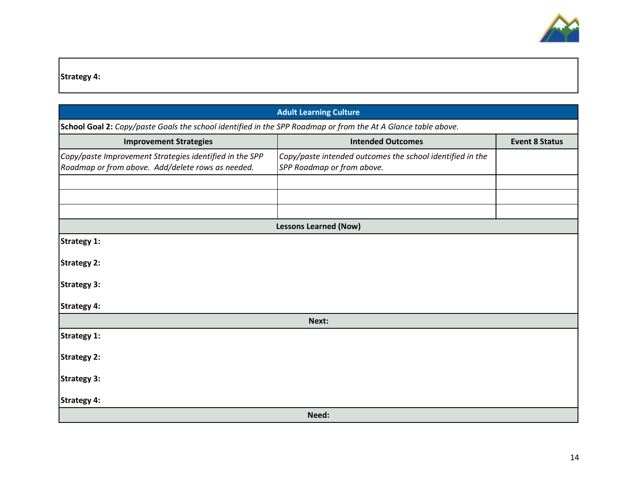

**Strategy 4:**

| <b>Adult Learning Culture</b>                                                                                 |                                                                                         |                       |  |  |
|---------------------------------------------------------------------------------------------------------------|-----------------------------------------------------------------------------------------|-----------------------|--|--|
| School Goal 2: Copy/paste Goals the school identified in the SPP Roadmap or from the At A Glance table above. |                                                                                         |                       |  |  |
| <b>Improvement Strategies</b>                                                                                 | <b>Intended Outcomes</b>                                                                | <b>Event 8 Status</b> |  |  |
| Copy/paste Improvement Strategies identified in the SPP<br>Roadmap or from above. Add/delete rows as needed.  | Copy/paste intended outcomes the school identified in the<br>SPP Roadmap or from above. |                       |  |  |
|                                                                                                               |                                                                                         |                       |  |  |
|                                                                                                               | <b>Lessons Learned (Now)</b>                                                            |                       |  |  |
| <b>Strategy 1:</b>                                                                                            |                                                                                         |                       |  |  |
| <b>Strategy 2:</b>                                                                                            |                                                                                         |                       |  |  |
| <b>Strategy 3:</b>                                                                                            |                                                                                         |                       |  |  |
| Strategy 4:                                                                                                   |                                                                                         |                       |  |  |
| Next:                                                                                                         |                                                                                         |                       |  |  |
| Strategy 1:                                                                                                   |                                                                                         |                       |  |  |
| <b>Strategy 2:</b>                                                                                            |                                                                                         |                       |  |  |
| <b>Strategy 3:</b>                                                                                            |                                                                                         |                       |  |  |
| <b>Strategy 4:</b>                                                                                            |                                                                                         |                       |  |  |
| Need:                                                                                                         |                                                                                         |                       |  |  |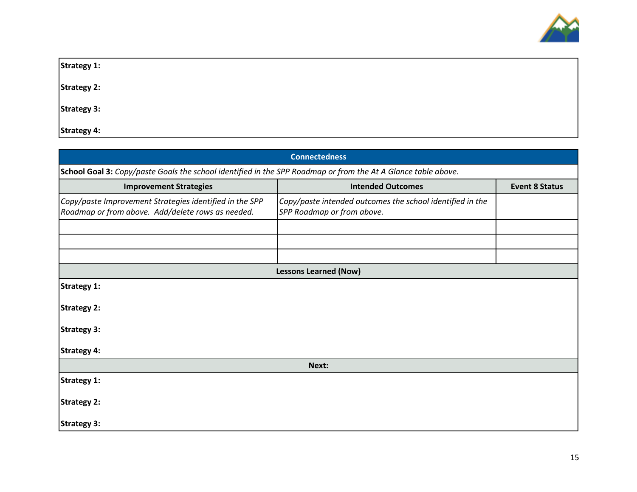

| <b>Strategy 1:</b> |  |  |  |
|--------------------|--|--|--|
| <b>Strategy 2:</b> |  |  |  |
| <b>Strategy 3:</b> |  |  |  |
| <b>Strategy 4:</b> |  |  |  |

| <b>Connectedness</b>                                                                                          |                                                                                         |                       |  |  |
|---------------------------------------------------------------------------------------------------------------|-----------------------------------------------------------------------------------------|-----------------------|--|--|
| School Goal 3: Copy/paste Goals the school identified in the SPP Roadmap or from the At A Glance table above. |                                                                                         |                       |  |  |
| <b>Improvement Strategies</b>                                                                                 | <b>Intended Outcomes</b>                                                                | <b>Event 8 Status</b> |  |  |
| Copy/paste Improvement Strategies identified in the SPP<br>Roadmap or from above. Add/delete rows as needed.  | Copy/paste intended outcomes the school identified in the<br>SPP Roadmap or from above. |                       |  |  |
|                                                                                                               |                                                                                         |                       |  |  |
|                                                                                                               |                                                                                         |                       |  |  |
|                                                                                                               | <b>Lessons Learned (Now)</b>                                                            |                       |  |  |
| <b>Strategy 1:</b>                                                                                            |                                                                                         |                       |  |  |
| <b>Strategy 2:</b>                                                                                            |                                                                                         |                       |  |  |
| <b>Strategy 3:</b>                                                                                            |                                                                                         |                       |  |  |
| <b>Strategy 4:</b>                                                                                            |                                                                                         |                       |  |  |
| Next:                                                                                                         |                                                                                         |                       |  |  |
| <b>Strategy 1:</b>                                                                                            |                                                                                         |                       |  |  |
| <b>Strategy 2:</b>                                                                                            |                                                                                         |                       |  |  |
| <b>Strategy 3:</b>                                                                                            |                                                                                         |                       |  |  |